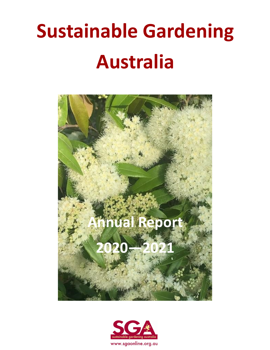# **Sustainable Gardening Australia**



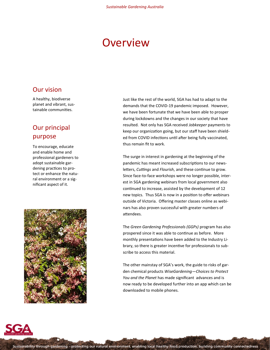# **Overview**

### Our vision

A healthy, biodiverse planet and vibrant, sustainable communities.

## Our principal purpose

To encourage, educate and enable home and professional gardeners to adopt sustainable gardening practices to protect or enhance the natural environment or a significant aspect of it.



Just like the rest of the world, SGA has had to adapt to the demands that the COVID-19 pandemic imposed. However, we have been fortunate that we have been able to prosper during lockdowns and the changes in our society that have resulted. Not only has SGA received *Jobkeeper* payments to keep our organization going, but our staff have been shielded from COVID infections until after being fully vaccinated, thus remain fit to work.

The surge in interest in gardening at the beginning of the pandemic has meant increased subscriptions to our newsletters, *Cuttings* and *Flourish*, and these continue to grow. Since face-to-face workshops were no longer possible, interest in SGA gardening webinars from local government also continued to increase, assisted by the development of 12 new topics. Thus SGA is now in a position to offer webinars outside of Victoria. Offering master classes online as webinars has also proven successful with greater numbers of attendees.

The *Green Gardening Professionals (GGPs)* program has also prospered since it was able to continue as before. More monthly presentations have been added to the Industry Library, so there is greater incentive for professionals to subscribe to access this material.

The other mainstay of SGA's work, the guide to risks of garden chemical products *WiseGardening—Choices to Protect You and the Planet* has made significant advances and is now ready to be developed further into an app which can be downloaded to mobile phones.

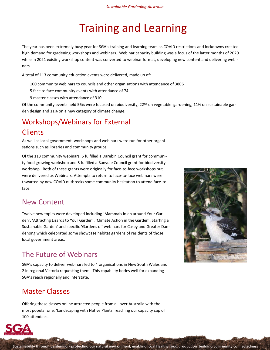# Training and Learning

The year has been extremely busy year for SGA's training and learning team as COVID restrictions and lockdowns created high demand for gardening workshops and webinars. Webinar capacity building was a focus of the latter months of 2020 while in 2021 existing workshop content was converted to webinar format, developing new content and delivering webinars.

A total of 113 community education events were delivered, made up of:

- 100 community webinars to councils and other organisations with attendance of 3806
- 5 face to face community events with attendance of 74
- 9 master classes with attendance of 310

Of the community events held 56% were focused on biodiversity, 22% on vegetable gardening, 11% on sustainable garden design and 11% on a new category of climate change.

# Workshops/Webinars for External **Clients**

As well as local government, workshops and webinars were run for other organisations such as libraries and community groups.

Of the 113 community webinars, 5 fulfilled a Darebin Council grant for community food growing workshop and 5 fulfilled a Banyule Council grant for biodiversity workshop. Both of these grants were originally for face-to-face workshops but were delivered as Webinars. Attempts to return to face-to-face webinars were thwarted by new COVID outbreaks some community hesitation to attend face-toface.

### New Content

Twelve new topics were developed including 'Mammals in an around Your Garden', 'Attracting Lizards to Your Garden', 'Climate Action in the Garden', Starting a Sustainable Garden' and specific 'Gardens of' webinars for Casey and Greater Dandenong which celebrated some showcase habitat gardens of residents of those local government areas.

# The Future of Webinars

SGA's capacity to deliver webinars led to 4 organisations in New South Wales and 2 in regional Victoria requesting them. This capability bodes well for expanding SGA's reach regionally and interstate.

# Master Classes

Offering these classes online attracted people from all over Australia with the most popular one, 'Landscaping with Native Plants' reaching our capacity cap of 100 attendees.



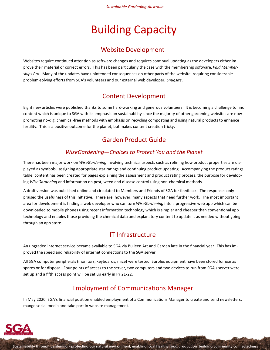# Building Capacity

### Website Development

Websites require continued attention as software changes and requires continual updating as the developers either improve their material or correct errors. This has been particularly the case with the membership software, *Paid Memberships Pro*. Many of the updates have unintended consequences on other parts of the website, requiring considerable problem-solving efforts from SGA's volunteers and our external web developer, *Snugsite*.

### Content Development

Eight new articles were published thanks to some hard-working and generous volunteers. It is becoming a challenge to find content which is unique to SGA with its emphasis on sustainability since the majority of other gardening websites are now promoting no-dig, chemical-free methods with emphasis on recycling composting and using natural products to enhance fertility. This is a positive outcome for the planet, but makes content creation tricky.

### Garden Product Guide

### *WiseGardening—Choices to Protect You and the Planet*

There has been major work on *WiseGardening* involving technical aspects such as refining how product properties are displayed as symbols, assigning appropriate star ratings and continuing product updating. Accompanying the product ratings table, content has been created for pages explaining the assessment and product rating process, the purpose for developing *WiseGardening* and information on pest, weed and disease control using non-chemical methods.

A draft version was published online and circulated to Members and Friends of SGA for feedback. The responses only praised the usefulness of this initiative. There are, however, many aspects that need further work. The most important area for development is finding a web developer who can turn *WiseGardening* into a progressive web app which can be downloaded to mobile phones using recent information technology which is simpler and cheaper than conventional app technology and enables those providing the chemical data and explanatory content to update it as needed without going through an app store.

### IT Infrastructure

An upgraded internet service became available to SGA via Bulleen Art and Garden late in the financial year This has improved the speed and reliability of internet connections to the SGA server

All SGA computer peripherals (monitors, keyboards, mice) were tested. Surplus equipment have been stored for use as spares or for disposal. Four points of access to the server, two computers and two devices to run from SGA's server were set up and a fifth access point will be set up early in FY 21-22.

### Employment of Communications Manager

In May 2020, SGA's financial position enabled employment of a Communications Manager to create and send newsletters, mange social media and take part in website management.

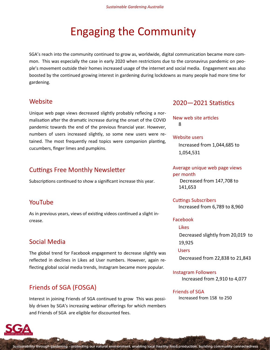# Engaging the Community

SGA's reach into the community continued to grow as, worldwide, digital communication became more common. This was especially the case in early 2020 when restrictions due to the coronavirus pandemic on people's movement outside their homes increased usage of the internet and social media. Engagement was also boosted by the continued growing interest in gardening during lockdowns as many people had more time for gardening.

### **Website**

Unique web page views decreased slightly probably reflecing a normalisation after the dramatic increase during the onset of the COVID pandemic towards the end of the previous financial year. However, numbers of users increased slightly, so some new users were retained. The most frequently read topics were companion planting, cucumbers, finger limes and pumpkins.

### Cuttings Free Monthly Newsletter

Subscriptions continued to show a significant increase this year.

### YouTube

As in previous years, views of existing videos continued a slight increase.

### Social Media

The global trend for Facebook engagement to decrease slightly was reflected in declines in Likes ad User numbers. However, again reflecting global social media trends, Instagram became more popular.

### Friends of SGA (FOSGA)

Interest in joining Friends of SGA continued to grow This was possibly driven by SGA's increasing webinar offerings for which members and Friends of SGA are eligible for discounted fees.

### 2020—2021 Statistics

New web site articles 8

#### Website users

Increased from 1,044,685 to 1,054,531

Average unique web page views per month Decreased from 147,708 to 141,653

Cuttings Subscribers Increased from 6,789 to 8,960

#### Facebook

Likes Decreased slightly from 20,019 to 19,925

#### Users

Decreased from 22,838 to 21,843

Instagram Followers Increased from 2,910 to 4,077

#### Friends of SGA

Increased from 158 to 250

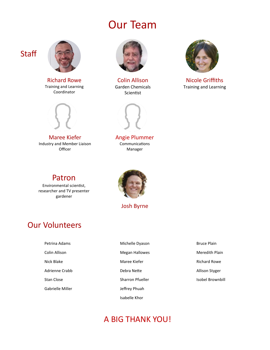# Our Team



**Staff** 

Richard Rowe Training and Learning Coordinator



Maree Kiefer Industry and Member Liaison **Officer** 

Patron Environmental scientist, researcher and TV presenter gardener



Colin Allison Garden Chemicals Scientist



Nicole Griffiths Training and Learning



Angie Plummer Communications Manager



Josh Byrne

# Our Volunteers

| Petrina Adams         | Michelle  |
|-----------------------|-----------|
| Colin Allison         | Megan I   |
| Nick Blake            | Maree k   |
| <b>Adrienne Crabb</b> | Debra N   |
| <b>Stan Close</b>     | Sharron   |
| Gabrielle Miller      | Jeffrey F |
|                       |           |

- e Dyason **Hallowes** Kiefer lette Pfueller Phuah Isabelle Khor
- Bruce Plain Meredith Plain Richard Rowe Allison Styger Isobel Brownbill

# A BIG THANK YOU!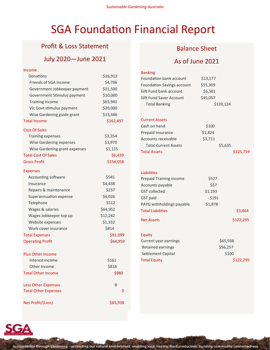# SGA Foundation Financial Report

### Profit & Loss Statement Profit & Loss Statement

### July 2019—June 2020 July 2020—June 2021

| Income                        |           | <b>Banking</b>           |
|-------------------------------|-----------|--------------------------|
| Donations                     | \$16,913  | Foundation bank          |
| Friends of SGA income         | \$4,796   | <b>Foundation Savir</b>  |
| Government Jobkeeper payment  | \$31,500  | Gift Fund bank a         |
| Government Stimulus payment   | \$10,000  | Gift Fund Saver /        |
| Training income               | \$65,941  | <b>Total Banking</b>     |
| Vic Govt stimulus payment     | \$20,000  |                          |
| Wise Gardening guide grant    | \$13,346  |                          |
| <b>Total Income</b>           | \$162,497 | <b>Current Assets</b>    |
| <b>Cost Of Sales</b>          |           | Cash on hand             |
| <b>Training expenses</b>      | \$3,354   | Prepaid Insurand         |
| Wise Gardening expenses       | \$1,970   | Accounts receiva         |
| Wise Gardening grant expenses | \$1,115   | <b>Total Current</b>     |
| <b>Total Cost Of Sales</b>    | \$6,439   | <b>Total Assets</b>      |
| <b>Gross Profit</b>           | \$156,058 |                          |
|                               |           |                          |
| <b>Expenses</b>               |           | Liabilities              |
| Accounting software           | \$545     | <b>Prepaid Training</b>  |
| Insurance                     | \$4,438   | Accounts payabl          |
| Repairs & maintenance         | \$237     | <b>GST collected</b>     |
| Superannuation expense        | \$6,026   | GST paid                 |
| Telephone                     | \$512     | PAYG withholdin          |
| Wages & salaries              | \$64,952  | <b>Total Liabilities</b> |
| Wages Jobkeeper top up        | \$12,242  | <b>Net Assets</b>        |
| Website expenses              | \$1,332   |                          |
| Work cover insurance          | \$814     |                          |
| <b>Total Expenses</b>         | \$91,099  | Equity                   |
| <b>Operating Profit</b>       | \$64,959  | Current year ear         |
|                               |           | Retained earnin          |
| <b>Plus Other Income</b>      |           | Settlement Capi          |
| Interest income               | \$161     | <b>Total Equity</b>      |
| Other income                  | \$818     |                          |
| <b>Total Other Income</b>     | \$980     |                          |
|                               |           |                          |
| <b>Less Other Expenses</b>    | 0         |                          |
| <b>Total Other Expenses</b>   | 0         |                          |
| Net Profit/(Loss)             | \$65,938  |                          |
|                               |           |                          |

### Balance Sheet

### As of June 2021

| Foundation bank account        | \$13,177  |           |
|--------------------------------|-----------|-----------|
| Foundation Savings account     | \$55,309  |           |
| Gift Fund bank account         | \$6,581   |           |
| Gift Fund Saver Account        | \$45,057  |           |
| <b>Total Banking</b>           | \$120,124 |           |
| <b>Current Assets</b>          |           |           |
| Cash on hand                   | \$100     |           |
| Prepaid Insurance              | \$1,824   |           |
| Accounts receivable            | \$3,711   |           |
| <b>Total Current Assets</b>    | \$5,635   |           |
| <b>Total Assets</b>            |           | \$125,759 |
|                                |           |           |
| Liabilities                    |           |           |
| <b>Prepaid Training income</b> | \$527     |           |

| Prepaiu Trailing Income   | 33 Z T    |           |
|---------------------------|-----------|-----------|
| Accounts payable          | \$57      |           |
| <b>GST</b> collected      | \$1,193   |           |
| <b>GST</b> paid           | $-$ \$191 |           |
| PAYG withholdings payable | \$1,878   |           |
| <b>Total Liabilities</b>  |           | \$3,464   |
| <b>Net Assets</b>         |           | \$122,295 |

#### Requiry<br>The extension of the extension of the extension of the extension of the extension of the extension of the extension<br>The extension of the extension of the extension of the extension of the extension of the extension  $r_{\text{mings}}$   $\frac{1}{2}$   $\frac{1}{2}$   $\frac{1}{2}$   $\frac{1}{2}$   $\frac{1}{2}$   $\frac{1}{2}$   $\frac{1}{2}$   $\frac{1}{2}$   $\frac{1}{2}$   $\frac{1}{2}$   $\frac{1}{2}$   $\frac{1}{2}$   $\frac{1}{2}$   $\frac{1}{2}$   $\frac{1}{2}$   $\frac{1}{2}$   $\frac{1}{2}$   $\frac{1}{2}$   $\frac{1}{2}$   $\frac{1}{2}$   $\frac{1}{2}$

| <u>JUJ,JJO</u> |
|----------------|
| \$56,257       |
| \$100          |
| \$122,295      |
|                |

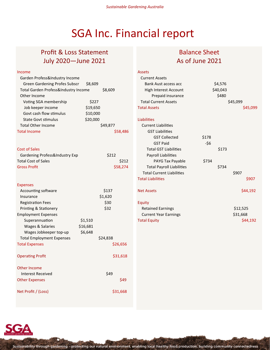# SGA Inc. Financial report

# Profit & Loss Statement July 2020—June 2021

#### Income

| Garden Profess&Industry Income       |          |          |          |
|--------------------------------------|----------|----------|----------|
| <b>Green Gardening Profes Subscr</b> | \$8,609  |          |          |
| Total Garden Profess&Industry Income |          | \$8,609  |          |
| Other Income                         |          |          |          |
| Voting SGA membership                | \$227    |          |          |
| Job keeper income                    | \$19,650 |          |          |
| Govt cash flow stimulus              | \$10,000 |          |          |
| <b>State Govt stimulus</b>           | \$20,000 |          |          |
| <b>Total Other Income</b>            |          | \$49,877 |          |
| <b>Total Income</b>                  |          |          | \$58,486 |
| <b>Cost of Sales</b>                 |          |          |          |
| Gardening Profess&Industry Exp       |          | \$212    |          |
| <b>Total Cost of Sales</b>           |          |          | \$212    |
| <b>Gross Profit</b>                  |          |          | \$58,274 |
| <b>Expenses</b>                      |          |          |          |
| Accounting software                  |          | \$137    |          |
| Insurance                            |          | \$1,620  |          |
| <b>Registration Fees</b>             |          | \$30     |          |
| Printing & Stationery                |          | \$32     |          |
| <b>Employment Expenses</b>           |          |          |          |
| Superannuation                       | \$1,510  |          |          |
| Wages & Salaries                     | \$16,681 |          |          |
| Wages Jobkeeper top-up               | \$6,648  |          |          |
| <b>Total Employment Expenses</b>     |          | \$24,838 |          |
| <b>Total Expenses</b>                |          |          | \$26,656 |
| <b>Operating Profit</b>              |          |          | \$31,618 |
| Other Income                         |          |          |          |
| <b>Interest Received</b>             |          | \$49     |          |
| <b>Other Expenses</b>                |          |          | \$49     |
| Net Profit / (Loss)                  |          |          | \$31,668 |

# Balance Sheet As of June 2021

| <b>Assets</b>                    |          |
|----------------------------------|----------|
| <b>Current Assets</b>            |          |
| <b>Bank Aust access acc</b>      | \$4,576  |
| High Interest Account            | \$40,043 |
| Prepaid insurance                | \$480    |
| <b>Total Current Assets</b>      | \$45,099 |
| <b>Total Assets</b>              | \$45,099 |
| Liabilities                      |          |
| <b>Current Liabilities</b>       |          |
| <b>GST Liabilities</b>           |          |
| <b>GST Collected</b>             | \$178    |
| <b>GST Paid</b>                  | -\$6     |
| <b>Total GST Liabilities</b>     | \$173    |
| <b>Payroll Liabilities</b>       |          |
| PAYG Tax Payable                 | \$734    |
| <b>Total Payroll Liabilities</b> | \$734    |
| <b>Total Current Liabilities</b> | \$907    |
| <b>Total Liabilities</b>         | \$907    |
| <b>Net Assets</b>                | \$44,192 |
| Equity                           |          |
| <b>Retained Earnings</b>         | \$12,525 |
| <b>Current Year Earnings</b>     | \$31,668 |
| <b>Total Equity</b>              | \$44,192 |

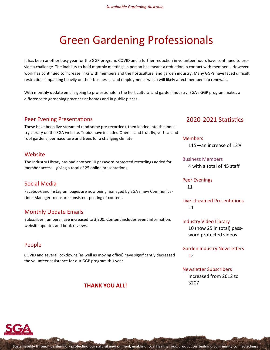# Green Gardening Professionals

It has been another busy year for the GGP program. COVID and a further reduction in volunteer hours have continued to provide a challenge. The inability to hold monthly meetings in person has meant a reduction in contact with members. However, work has continued to increase links with members and the horticultural and garden industry. Many GGPs have faced difficult restrictions impacting heavily on their businesses and employment - which will likely affect membership renewals.

With monthly update emails going to professionals in the horticultural and garden industry, SGA's GGP program makes a difference to gardening practices at homes and in public places.

### Peer Evening Presentations

These have been live streamed (and some pre-recorded), then loaded into the Industry Library on the SGA website. Topics have included Queensland fruit fly, vertical and roof gardens, permaculture and trees for a changing climate.

#### Website

The Industry Library has had another 10 password-protected recordings added for member access—giving a total of 25 online presentations.

#### Social Media

Facebook and Instagram pages are now being managed by SGA's new Communications Manager to ensure consistent posting of content.

### Monthly Update Emails

Subscriber numbers have increased to 3,200. Content includes event information, website updates and book reviews.

### People

COVID and several lockdowns (as well as moving office) have significantly decreased the volunteer assistance for our GGP program this year.

### **THANK YOU ALL!**

### 2020-2021 Statistics

Members 115—an increase of 13%

### Business Members

4 with a total of 45 staff

Peer Evenings 11

Live-streamed Presentations 11

### Industry Video Library 10 (now 25 in total) password protected videos

Garden Industry Newsletters 12

#### Newsletter Subscribers

 Increased from 2612 to 3207

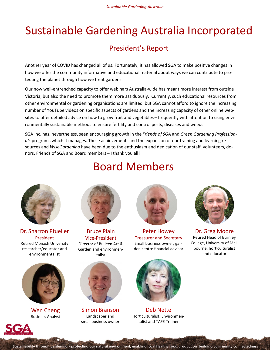# Sustainable Gardening Australia Incorporated

# President's Report

Another year of COVID has changed all of us. Fortunately, it has allowed SGA to make positive changes in how we offer the community informative and educational material about ways we can contribute to protecting the planet through how we treat gardens.

Our now well-entrenched capacity to offer webinars Australia-wide has meant more interest from outside Victoria, but also the need to promote them more assiduously. Currently, such educational resources from other environmental or gardening organisations are limited, but SGA cannot afford to ignore the increasing number of YouTube videos on specific aspects of gardens and the increasing capacity of other online websites to offer detailed advice on how to grow fruit and vegetables – frequently with attention to using environmentally sustainable methods to ensure fertility and control pests, diseases and weeds.

SGA Inc. has, nevertheless, seen encouraging growth in the *Friends of SGA* and *Green Gardening Professionals* programs which it manages. These achievements and the expansion of our training and learning resources and *WiseGardening* have been due to the enthusiasm and dedication of our staff, volunteers, donors, Friends of SGA and Board members – I thank you all!

Board Members



Dr. Sharron Pfueller President Retired Monash University researcher/educator and environmentalist



Wen Cheng Business Analyst



Bruce Plain Vice-President Director of Bulleen Art & Garden and environmentalist



Simon Branson Landscaper and small business owner



Peter Howey Treasurer and Secretary Small business owner, garden centre financial advisor



Deb Nette Horticulturalist, Environmentalist and TAFE Trainer



Dr. Greg Moore Retired Head of Burnley College, University of Melbourne, horticulturalist and educator